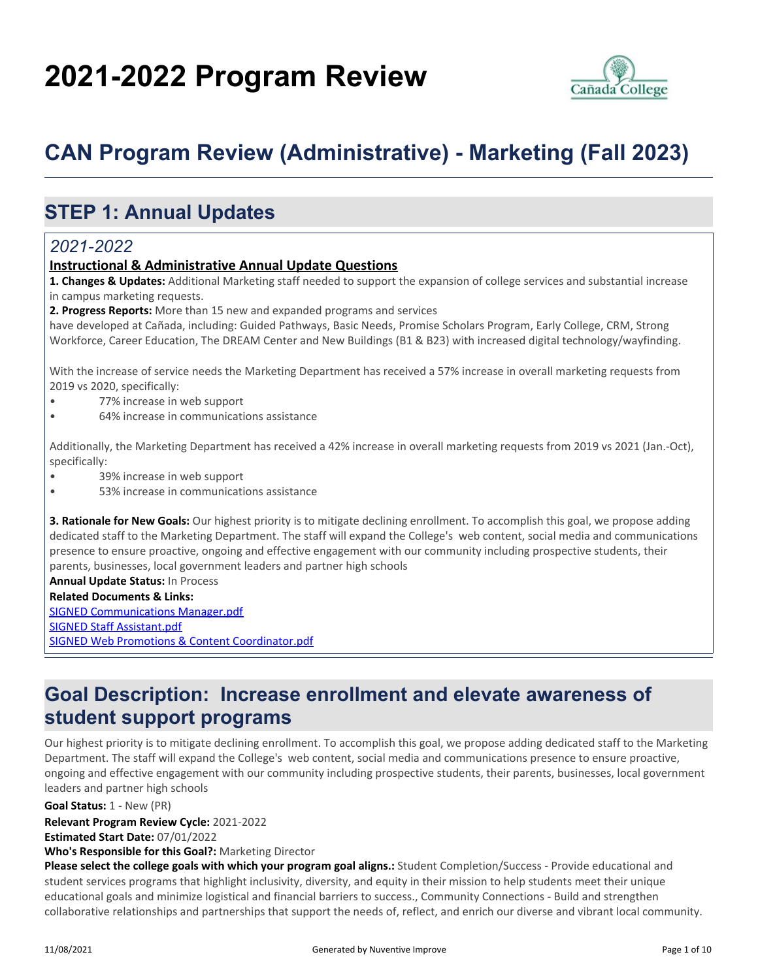# **2021-2022 Program Review**



## **CAN Program Review (Administrative) - Marketing (Fall 2023)**

## **STEP 1: Annual Updates**

## *2021-2022*

### **Instructional & Administrative Annual Update Questions**

**1. Changes & Updates:** Additional Marketing staff needed to support the expansion of college services and substantial increase in campus marketing requests.

**2. Progress Reports:** More than 15 new and expanded programs and services

have developed at Cañada, including: Guided Pathways, Basic Needs, Promise Scholars Program, Early College, CRM, Strong Workforce, Career Education, The DREAM Center and New Buildings (B1 & B23) with increased digital technology/wayfinding.

With the increase of service needs the Marketing Department has received a 57% increase in overall marketing requests from 2019 vs 2020, specifically:

- 77% increase in web support
- 64% increase in communications assistance

Additionally, the Marketing Department has received a 42% increase in overall marketing requests from 2019 vs 2021 (Jan.-Oct), specifically:

- 39% increase in web support
- 53% increase in communications assistance

**3. Rationale for New Goals:** Our highest priority is to mitigate declining enrollment. To accomplish this goal, we propose adding dedicated staff to the Marketing Department. The staff will expand the College's web content, social media and communications presence to ensure proactive, ongoing and effective engagement with our community including prospective students, their parents, businesses, local government leaders and partner high schools

**Annual Update Status:** In Process **Related Documents & Links:** [SIGNED Communications Manager.pdf](https://sanmateo.improve.nuventive.com:443/tracdat/viewDocument?y=ttgcHD15XciI) [SIGNED Staff Assistant.pdf](https://sanmateo.improve.nuventive.com:443/tracdat/viewDocument?y=mNM9DLoSfjgN) [SIGNED Web Promotions & Content Coordinator.pdf](https://sanmateo.improve.nuventive.com:443/tracdat/viewDocument?y=zgnxKRHtXuMz)

## **Goal Description: Increase enrollment and elevate awareness of student support programs**

Our highest priority is to mitigate declining enrollment. To accomplish this goal, we propose adding dedicated staff to the Marketing Department. The staff will expand the College's web content, social media and communications presence to ensure proactive, ongoing and effective engagement with our community including prospective students, their parents, businesses, local government leaders and partner high schools

**Relevant Program Review Cycle:** 2021-2022 **Goal Status:** 1 - New (PR)

**Estimated Start Date:** 07/01/2022

**Who's Responsible for this Goal?:** Marketing Director

**Please select the college goals with which your program goal aligns.:** Student Completion/Success - Provide educational and student services programs that highlight inclusivity, diversity, and equity in their mission to help students meet their unique educational goals and minimize logistical and financial barriers to success., Community Connections - Build and strengthen collaborative relationships and partnerships that support the needs of, reflect, and enrich our diverse and vibrant local community.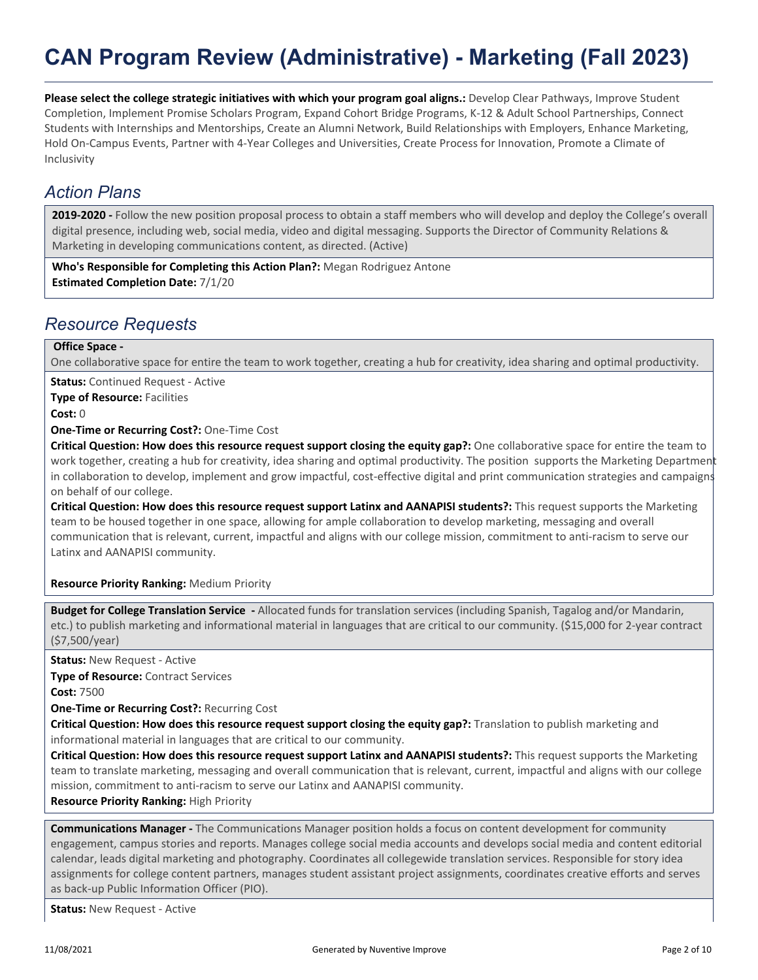## **CAN Program Review (Administrative) - Marketing (Fall 2023)**

**Please select the college strategic initiatives with which your program goal aligns.:** Develop Clear Pathways, Improve Student Completion, Implement Promise Scholars Program, Expand Cohort Bridge Programs, K-12 & Adult School Partnerships, Connect Students with Internships and Mentorships, Create an Alumni Network, Build Relationships with Employers, Enhance Marketing, Hold On-Campus Events, Partner with 4-Year Colleges and Universities, Create Process for Innovation, Promote a Climate of Inclusivity

### *Action Plans*

**2019-2020 -** Follow the new position proposal process to obtain a staff members who will develop and deploy the College's overall digital presence, including web, social media, video and digital messaging. Supports the Director of Community Relations & Marketing in developing communications content, as directed. (Active)

**Who's Responsible for Completing this Action Plan?:** Megan Rodriguez Antone **Estimated Completion Date:** 7/1/20

### *Resource Requests*

### **Office Space -**

One collaborative space for entire the team to work together, creating a hub for creativity, idea sharing and optimal productivity.

**Status:** Continued Request - Active

**Type of Resource: Facilities** 

**Cost:** 0

**One-Time or Recurring Cost?:** One-Time Cost

**Critical Question: How does this resource request support closing the equity gap?:** One collaborative space for entire the team to work together, creating a hub for creativity, idea sharing and optimal productivity. The position supports the Marketing Department in collaboration to develop, implement and grow impactful, cost-effective digital and print communication strategies and campaigns on behalf of our college.

**Critical Question: How does this resource request support Latinx and AANAPISI students?:** This request supports the Marketing team to be housed together in one space, allowing for ample collaboration to develop marketing, messaging and overall communication that is relevant, current, impactful and aligns with our college mission, commitment to anti-racism to serve our Latinx and AANAPISI community.

#### **Resource Priority Ranking:** Medium Priority

**Budget for College Translation Service -** Allocated funds for translation services (including Spanish, Tagalog and/or Mandarin, etc.) to publish marketing and informational material in languages that are critical to our community. (\$15,000 for 2-year contract (\$7,500/year)

**Status:** New Request - Active

**Type of Resource:** Contract Services

**Cost:** 7500

**One-Time or Recurring Cost?:** Recurring Cost

**Critical Question: How does this resource request support closing the equity gap?:** Translation to publish marketing and informational material in languages that are critical to our community.

**Critical Question: How does this resource request support Latinx and AANAPISI students?:** This request supports the Marketing team to translate marketing, messaging and overall communication that is relevant, current, impactful and aligns with our college mission, commitment to anti-racism to serve our Latinx and AANAPISI community.

**Resource Priority Ranking:** High Priority

**Communications Manager -** The Communications Manager position holds a focus on content development for community engagement, campus stories and reports. Manages college social media accounts and develops social media and content editorial calendar, leads digital marketing and photography. Coordinates all collegewide translation services. Responsible for story idea assignments for college content partners, manages student assistant project assignments, coordinates creative efforts and serves as back-up Public Information Officer (PIO).

**Status:** New Request - Active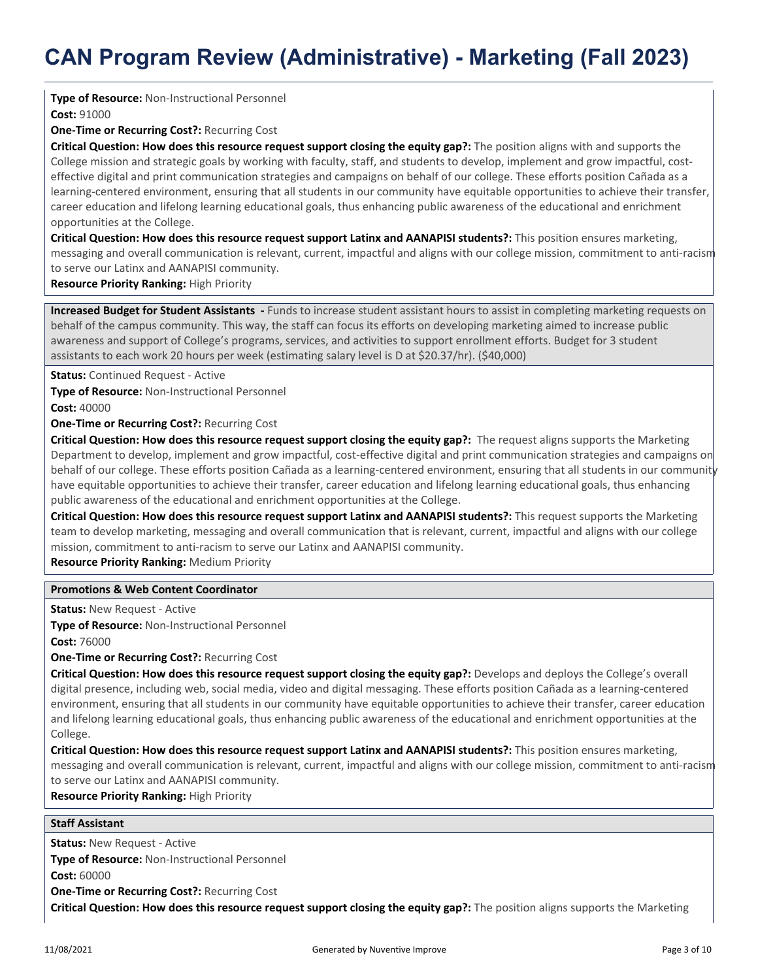#### **Type of Resource:** Non-Instructional Personnel

**Cost:** 91000

**One-Time or Recurring Cost?:** Recurring Cost

**Critical Question: How does this resource request support closing the equity gap?:** The position aligns with and supports the College mission and strategic goals by working with faculty, staff, and students to develop, implement and grow impactful, costeffective digital and print communication strategies and campaigns on behalf of our college. These efforts position Cañada as a learning-centered environment, ensuring that all students in our community have equitable opportunities to achieve their transfer, career education and lifelong learning educational goals, thus enhancing public awareness of the educational and enrichment opportunities at the College.

**Critical Question: How does this resource request support Latinx and AANAPISI students?:** This position ensures marketing, messaging and overall communication is relevant, current, impactful and aligns with our college mission, commitment to anti-racism to serve our Latinx and AANAPISI community.

**Resource Priority Ranking:** High Priority

**Increased Budget for Student Assistants -** Funds to increase student assistant hours to assist in completing marketing requests on behalf of the campus community. This way, the staff can focus its efforts on developing marketing aimed to increase public awareness and support of College's programs, services, and activities to support enrollment efforts. Budget for 3 student assistants to each work 20 hours per week (estimating salary level is D at \$20.37/hr). (\$40,000)

**Status:** Continued Request - Active

**Type of Resource:** Non-Instructional Personnel

**Cost:** 40000

**One-Time or Recurring Cost?:** Recurring Cost

**Critical Question: How does this resource request support closing the equity gap?:** The request aligns supports the Marketing Department to develop, implement and grow impactful, cost-effective digital and print communication strategies and campaigns on behalf of our college. These efforts position Cañada as a learning-centered environment, ensuring that all students in our community have equitable opportunities to achieve their transfer, career education and lifelong learning educational goals, thus enhancing public awareness of the educational and enrichment opportunities at the College.

**Critical Question: How does this resource request support Latinx and AANAPISI students?:** This request supports the Marketing team to develop marketing, messaging and overall communication that is relevant, current, impactful and aligns with our college mission, commitment to anti-racism to serve our Latinx and AANAPISI community.

**Resource Priority Ranking:** Medium Priority

#### **Promotions & Web Content Coordinator**

**Status:** New Request - Active

**Type of Resource:** Non-Instructional Personnel **Cost:** 76000

**One-Time or Recurring Cost?:** Recurring Cost

**Critical Question: How does this resource request support closing the equity gap?:** Develops and deploys the College's overall digital presence, including web, social media, video and digital messaging. These efforts position Cañada as a learning-centered environment, ensuring that all students in our community have equitable opportunities to achieve their transfer, career education and lifelong learning educational goals, thus enhancing public awareness of the educational and enrichment opportunities at the College.

**Critical Question: How does this resource request support Latinx and AANAPISI students?:** This position ensures marketing, messaging and overall communication is relevant, current, impactful and aligns with our college mission, commitment to anti-racism to serve our Latinx and AANAPISI community.

**Resource Priority Ranking:** High Priority

#### **Staff Assistant**

**Status:** New Request - Active

**Type of Resource:** Non-Instructional Personnel

**Cost:** 60000

**One-Time or Recurring Cost?:** Recurring Cost

**Critical Question: How does this resource request support closing the equity gap?:** The position aligns supports the Marketing